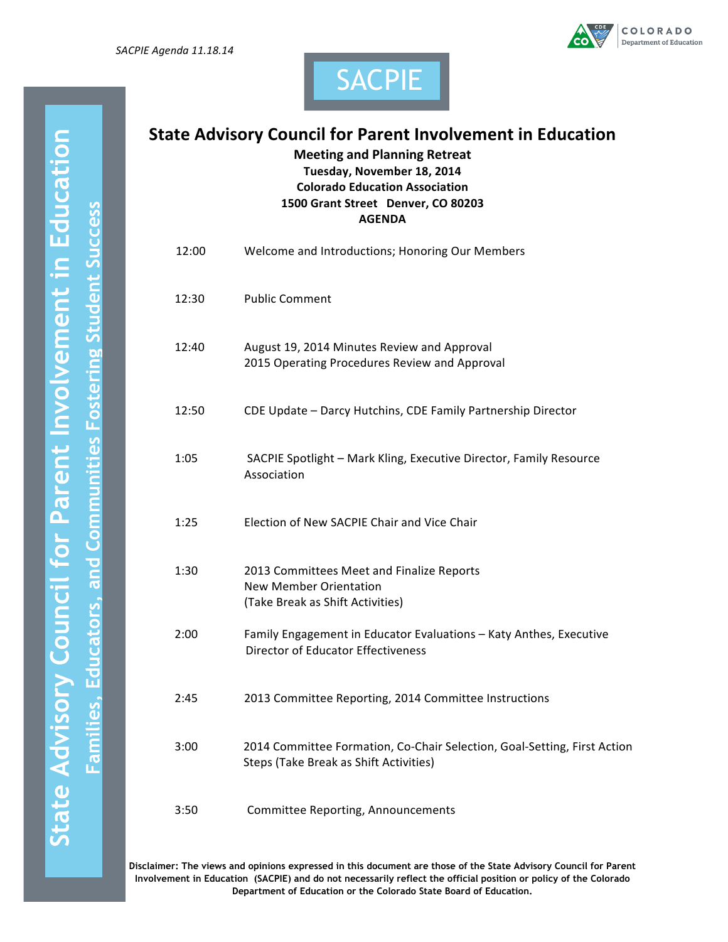





SACPIE

**Meeting and Planning Retreat Tuesday, November 18, 2014 Colorado Education Association 1500 Grant Street Denver, CO 80203 AGENDA**

| 12:00 | Welcome and Introductions; Honoring Our Members                                                                    |
|-------|--------------------------------------------------------------------------------------------------------------------|
| 12:30 | <b>Public Comment</b>                                                                                              |
| 12:40 | August 19, 2014 Minutes Review and Approval<br>2015 Operating Procedures Review and Approval                       |
| 12:50 | CDE Update - Darcy Hutchins, CDE Family Partnership Director                                                       |
| 1:05  | SACPIE Spotlight - Mark Kling, Executive Director, Family Resource<br>Association                                  |
| 1:25  | Election of New SACPIE Chair and Vice Chair                                                                        |
| 1:30  | 2013 Committees Meet and Finalize Reports<br><b>New Member Orientation</b><br>(Take Break as Shift Activities)     |
| 2:00  | Family Engagement in Educator Evaluations - Katy Anthes, Executive<br><b>Director of Educator Effectiveness</b>    |
| 2:45  | 2013 Committee Reporting, 2014 Committee Instructions                                                              |
| 3:00  | 2014 Committee Formation, Co-Chair Selection, Goal-Setting, First Action<br>Steps (Take Break as Shift Activities) |
| 3:50  | Committee Reporting, Announcements                                                                                 |

**Disclaimer: The views and opinions expressed in this document are those of the State Advisory Council for Parent Involvement in Education (SACPIE) and do not necessarily reflect the official position or policy of the Colorado Department of Education or the Colorado State Board of Education.**